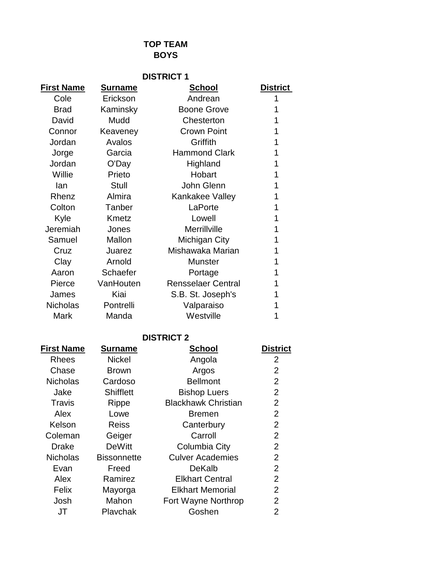## **TOP TEAM BOYS**

| <b>DISTRICT 1</b> |                |                           |                 |  |
|-------------------|----------------|---------------------------|-----------------|--|
| <b>First Name</b> | <u>Surname</u> | <u>School</u>             | <b>District</b> |  |
| Cole              | Erickson       | Andrean                   | 1               |  |
| <b>Brad</b>       | Kaminsky       | <b>Boone Grove</b>        |                 |  |
| David             | Mudd           | Chesterton                | 1               |  |
| Connor            | Keaveney       | <b>Crown Point</b>        | 1               |  |
| Jordan            | Avalos         | Griffith                  | 1               |  |
| Jorge             | Garcia         | <b>Hammond Clark</b>      | 1               |  |
| Jordan            | O'Day          | Highland                  | 1               |  |
| Willie            | Prieto         | Hobart                    | 1               |  |
| lan               | Stull          | John Glenn                | 1               |  |
| Rhenz             | Almira         | Kankakee Valley           | 1               |  |
| Colton            | Tanber         | LaPorte                   |                 |  |
| Kyle              | Kmetz          | Lowell                    | 1               |  |
| Jeremiah          | Jones          | Merrillville              | 1               |  |
| Samuel            | Mallon         | Michigan City             | 1               |  |
| Cruz              | Juarez         | Mishawaka Marian          | 1               |  |
| Clay              | Arnold         | <b>Munster</b>            | 1               |  |
| Aaron             | Schaefer       | Portage                   | 1               |  |
| Pierce            | VanHouten      | <b>Rensselaer Central</b> | 1               |  |
| James             | Kiai           | S.B. St. Joseph's         |                 |  |
| <b>Nicholas</b>   | Pontrelli      | Valparaiso                |                 |  |
| Mark              | Manda          | Westville                 |                 |  |
|                   |                |                           |                 |  |

## **DISTRICT 2**

| <b>First Name</b> | <b>Surname</b>     | <b>School</b>              | <b>District</b> |
|-------------------|--------------------|----------------------------|-----------------|
| Rhees             | <b>Nickel</b>      | Angola                     | 2               |
| Chase             | <b>Brown</b>       | Argos                      | 2               |
| <b>Nicholas</b>   | Cardoso            | <b>Bellmont</b>            | $\overline{2}$  |
| Jake              | <b>Shifflett</b>   | <b>Bishop Luers</b>        | 2               |
| Travis            | Rippe              | <b>Blackhawk Christian</b> | 2               |
| Alex              | Lowe               | <b>Bremen</b>              | 2               |
| Kelson            | <b>Reiss</b>       | Canterbury                 | $\overline{2}$  |
| Coleman           | Geiger             | Carroll                    | 2               |
| <b>Drake</b>      | <b>DeWitt</b>      | Columbia City              | 2               |
| <b>Nicholas</b>   | <b>Bissonnette</b> | <b>Culver Academies</b>    | $\overline{2}$  |
| Evan              | Freed              | DeKalb                     | 2               |
| Alex              | Ramirez            | <b>Elkhart Central</b>     | 2               |
| Felix             | Mayorga            | <b>Elkhart Memorial</b>    | 2               |
| Josh              | Mahon              | Fort Wayne Northrop        | 2               |
| JT                | Plavchak           | Goshen                     | $\overline{2}$  |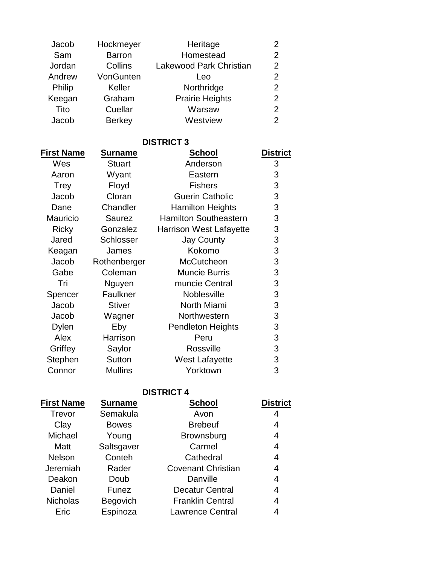| Jacob             | Hockmeyer      | Heritage                       | 2               |
|-------------------|----------------|--------------------------------|-----------------|
| Sam               | <b>Barron</b>  | Homestead                      | $\overline{2}$  |
| Jordan            | Collins        | <b>Lakewood Park Christian</b> | $\overline{2}$  |
| Andrew            | VonGunten      | Leo                            | $\overline{2}$  |
| Philip            | Keller         | Northridge                     | $\overline{2}$  |
| Keegan            | Graham         | <b>Prairie Heights</b>         | $\overline{2}$  |
| Tito              | Cuellar        | Warsaw                         | $\overline{2}$  |
| Jacob             | <b>Berkey</b>  | Westview                       | $\overline{2}$  |
|                   |                | <b>DISTRICT 3</b>              |                 |
| <b>First Name</b> | <b>Surname</b> | <u>School</u>                  | <b>District</b> |
| Wes               | <b>Stuart</b>  | Anderson                       | 3               |
| Aaron             | Wyant          | Eastern                        | 3               |
| <b>Trey</b>       | Floyd          | <b>Fishers</b>                 | 3               |
| Jacob             | Cloran         | <b>Guerin Catholic</b>         | 3               |
| Dane              | Chandler       | <b>Hamilton Heights</b>        | 3               |
| <b>Mauricio</b>   | <b>Saurez</b>  | <b>Hamilton Southeastern</b>   | 3               |
| Ricky             | Gonzalez       | <b>Harrison West Lafayette</b> | 3               |
| Jared             |                |                                |                 |

| , <b>1911</b> | v v y cu i l   | ட்பல்பா                        | ັ |
|---------------|----------------|--------------------------------|---|
| <b>Trey</b>   | Floyd          | <b>Fishers</b>                 | 3 |
| Jacob         | Cloran         | <b>Guerin Catholic</b>         | 3 |
| Dane          | Chandler       | <b>Hamilton Heights</b>        | 3 |
| Mauricio      | Saurez         | <b>Hamilton Southeastern</b>   | 3 |
| <b>Ricky</b>  | Gonzalez       | <b>Harrison West Lafayette</b> | 3 |
| Jared         | Schlosser      | <b>Jay County</b>              | 3 |
| Keagan        | James          | Kokomo                         | 3 |
| Jacob         | Rothenberger   | McCutcheon                     | 3 |
| Gabe          | Coleman        | <b>Muncie Burris</b>           | 3 |
| Tri           | Nguyen         | muncie Central                 | 3 |
| Spencer       | Faulkner       | Noblesville                    | 3 |
| Jacob         | <b>Stiver</b>  | North Miami                    | 3 |
| Jacob         | Wagner         | Northwestern                   | 3 |
| <b>Dylen</b>  | Eby            | <b>Pendleton Heights</b>       | 3 |
| Alex          | Harrison       | Peru                           | 3 |
| Griffey       | Saylor         | Rossville                      | 3 |
| Stephen       | Sutton         | <b>West Lafayette</b>          | 3 |
| Connor        | <b>Mullins</b> | Yorktown                       | 3 |
|               |                |                                |   |

## **DISTRICT 4**

| <b>First Name</b> | <b>Surname</b> | <b>School</b>             | <b>District</b> |
|-------------------|----------------|---------------------------|-----------------|
| Trevor            | Semakula       | Avon                      | 4               |
| Clay              | <b>Bowes</b>   | <b>Brebeuf</b>            | 4               |
| Michael           | Young          | <b>Brownsburg</b>         | 4               |
| Matt              | Saltsgaver     | Carmel                    | 4               |
| <b>Nelson</b>     | Conteh         | Cathedral                 | 4               |
| Jeremiah          | Rader          | <b>Covenant Christian</b> | 4               |
| Deakon            | Doub           | Danville                  | 4               |
| Daniel            | Funez          | <b>Decatur Central</b>    | 4               |
| <b>Nicholas</b>   | Begovich       | <b>Franklin Central</b>   | 4               |
| Eric              | Espinoza       | <b>Lawrence Central</b>   | 4               |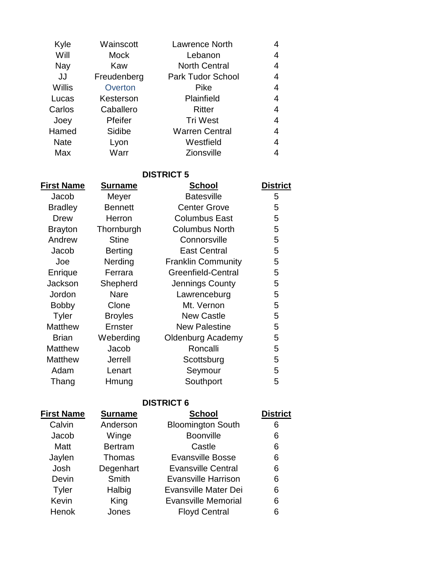| Kyle        | Wainscott   | <b>Lawrence North</b>    | 4 |
|-------------|-------------|--------------------------|---|
| Will        | Mock        | Lebanon                  | 4 |
| Nay         | Kaw         | <b>North Central</b>     | 4 |
| JJ          | Freudenberg | <b>Park Tudor School</b> | 4 |
| Willis      | Overton     | Pike                     | 4 |
| Lucas       | Kesterson   | Plainfield               | 4 |
| Carlos      | Caballero   | Ritter                   | 4 |
| Joey        | Pfeifer     | <b>Tri West</b>          | 4 |
| Hamed       | Sidibe      | <b>Warren Central</b>    | 4 |
| <b>Nate</b> | Lyon        | Westfield                | 4 |
| Max         | Warr        | <b>Zionsville</b>        | 4 |

**DISTRICT 5**

| <b>First Name</b> | <b>Surname</b> | School                    | <b>District</b> |
|-------------------|----------------|---------------------------|-----------------|
| Jacob             | Meyer          | <b>Batesville</b>         | 5               |
| <b>Bradley</b>    | <b>Bennett</b> | <b>Center Grove</b>       | 5               |
| <b>Drew</b>       | Herron         | <b>Columbus East</b>      | 5               |
| <b>Brayton</b>    | Thornburgh     | <b>Columbus North</b>     | 5               |
| Andrew            | <b>Stine</b>   | Connorsville              | 5               |
| Jacob             | <b>Berting</b> | <b>East Central</b>       | 5               |
| Joe               | Nerding        | <b>Franklin Community</b> | 5               |
| Enrique           | Ferrara        | <b>Greenfield-Central</b> | 5               |
| Jackson           | Shepherd       | Jennings County           | 5               |
| Jordon            | <b>Nare</b>    | Lawrenceburg              | 5               |
| <b>Bobby</b>      | Clone          | Mt. Vernon                | 5               |
| <b>Tyler</b>      | <b>Broyles</b> | <b>New Castle</b>         | 5               |
| <b>Matthew</b>    | <b>Ernster</b> | <b>New Palestine</b>      | 5               |
| Brian             | Weberding      | <b>Oldenburg Academy</b>  | 5               |
| <b>Matthew</b>    | Jacob          | Roncalli                  | 5               |
| <b>Matthew</b>    | <b>Jerrell</b> | Scottsburg                | 5               |
| Adam              | Lenart         | Seymour                   | 5               |
| Thang             | Hmung          | Southport                 | 5               |
|                   |                |                           |                 |

## **DISTRICT 6**

| <b>First Name</b> | <b>Surname</b> | <b>School</b>              | <b>District</b> |
|-------------------|----------------|----------------------------|-----------------|
| Calvin            | Anderson       | <b>Bloomington South</b>   | 6               |
| Jacob             | Winge          | <b>Boonville</b>           | 6               |
| Matt              | <b>Bertram</b> | Castle                     | 6               |
| Jaylen            | <b>Thomas</b>  | <b>Evansville Bosse</b>    | 6               |
| Josh              | Degenhart      | <b>Evansville Central</b>  | 6               |
| Devin             | Smith          | <b>Evansville Harrison</b> | 6               |
| <b>Tyler</b>      | Halbig         | Evansville Mater Dei       | 6               |
| Kevin             | King           | <b>Evansville Memorial</b> | 6               |
| Henok             | Jones          | <b>Floyd Central</b>       | 6               |